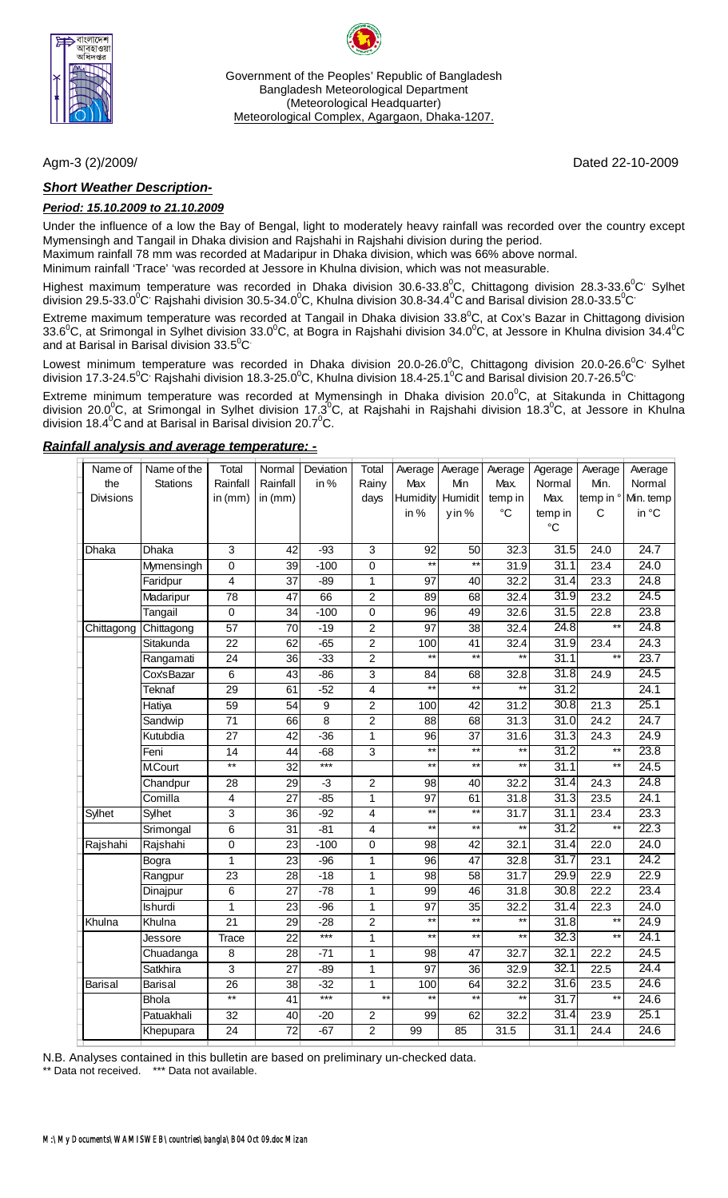

Government of the Peoples' Republic of Bangladesh Bangladesh Meteorological Department (Meteorological Headquarter) Meteorological Complex, Agargaon, Dhaka-1207.

## *Short Weather Description-*

#### *Period: 15.10.2009 to 21.10.2009*

Under the influence of a low the Bay of Bengal, light to moderately heavy rainfall was recorded over the country except Mymensingh and Tangail in Dhaka division and Rajshahi in Rajshahi division during the period.

Maximum rainfall 78 mm was recorded at Madaripur in Dhaka division, which was 66% above normal.

Minimum rainfall 'Trace' 'was recorded at Jessore in Khulna division, which was not measurable.

Highest maximum temperature was recorded in Dhaka division 30.6-33.8<sup>0</sup>C, Chittagong division 28.3-33.6<sup>0</sup>C<sup>,</sup> Sylhet division 29.5-33.0 $^0$ C<sup>,</sup> Rajshahi division 30.5-34.0 $^0$ C, Khulna division 30.8-34.4 $^0$ C and Barisal division 28.0-33.5 $^0$ C $^{\cdot}$ 

Extreme maximum temperature was recorded at Tangail in Dhaka division 33.8<sup>0</sup>C, at Cox's Bazar in Chittagong division 33.6 $^0$ C, at Srimongal in Sylhet division 33.0 $^0$ C, at Bogra in Rajshahi division 34.0 $^0$ C, at Jessore in Khulna division 34.4 $^0$ C and at Barisal in Barisal division 33.5 $^{\rm o}$ C $^{\rm c}$ 

Lowest minimum temperature was recorded in Dhaka division 20.0-26.0<sup>°</sup>C, Chittagong division 20.0-26.6<sup>°</sup>C<sup>,</sup> Sylhet division 17.3-24.5 $^0$ C<sup>,</sup> Rajshahi division 18.3-25.0 $^0$ C, Khulna division 18.4-25.1 $^0$ C and Barisal division 20.7-26.5 $^0$ C $^{\circ}$ 

Extreme minimum temperature was recorded at Mymensingh in Dhaka division 20.0 $^0$ C, at Sitakunda in Chittagong division 20.0<sup>0</sup>C, at Srimongal in Sylhet division 17.3<sup>0</sup>C, at Rajshahi in Rajshahi division 18.3<sup>0</sup>C, at Jessore in Khulna division 18.4 $\mathrm{^0C}$  and at Barisal in Barisal division 20.7 $\mathrm{^0C}$ .

#### *Rainfall analysis and average temperature: -*

| Name of          | Name of the     | Total           | Normal          | Deviation      | Total                    | Average         | Average         | Average                  | Agerage         | Average                  | Average   |
|------------------|-----------------|-----------------|-----------------|----------------|--------------------------|-----------------|-----------------|--------------------------|-----------------|--------------------------|-----------|
| the              | <b>Stations</b> | Rainfall        | Rainfall        | in%            | Rainy                    | Max             | Min             | Max.                     | Normal          | Min.                     | Normal    |
| <b>Divisions</b> |                 | in $(mm)$       | in $(mm)$       |                | days                     | <b>Humidity</b> | Humidit         | temp in                  | Max.            | temp in °                | Min. temp |
|                  |                 |                 |                 |                |                          | in %            | yin %           | °C                       | temp in         | C                        | in °C     |
|                  |                 |                 |                 |                |                          |                 |                 |                          | $\rm ^{\circ}C$ |                          |           |
| Dhaka            | <b>Dhaka</b>    | 3               | 42              | $-93$          | 3                        | 92              | 50              | 32.3                     | 31.5            | 24.0                     | 24.7      |
|                  | Mymensingh      | $\overline{0}$  | 39              | $-100$         | $\overline{0}$           | $\overline{**}$ | $\star\star$    | 31.9                     | 31.1            | 23.4                     | 24.0      |
|                  | Faridpur        | $\overline{4}$  | $\overline{37}$ | $-89$          | 1                        | $\overline{97}$ | 40              | 32.2                     | 31.4            | 23.3                     | 24.8      |
|                  | Madaripur       | 78              | 47              | 66             | $\overline{c}$           | 89              | 68              | 32.4                     | 31.9            | 23.2                     | 24.5      |
|                  | Tangail         | 0               | 34              | $-100$         | 0                        | 96              | 49              | 32.6                     | 31.5            | 22.8                     | 23.8      |
| Chittagong       | Chittagong      | $\overline{57}$ | 70              | $-19$          | $\overline{c}$           | $\overline{97}$ | 38              | 32.4                     | 24.8            | $**$                     | 24.8      |
|                  | Sitakunda       | $\overline{22}$ | 62              | $-65$          | $\overline{c}$           | 100             | 41              | 32.4                     | 31.9            | 23.4                     | 24.3      |
|                  | Rangamati       | $\overline{24}$ | $\overline{36}$ | $-33$          | $\overline{2}$           | $\overline{**}$ | $\overline{**}$ | $\star\star$             | 31.1            | $\star\star$             | 23.7      |
|                  | Cox'sBazar      | 6               | $\overline{43}$ | $-86$          | $\overline{3}$           | $\overline{84}$ | 68              | 32.8                     | 31.8            | 24.9                     | 24.5      |
|                  | <b>Teknaf</b>   | $\overline{29}$ | 61              | $-52$          | $\overline{4}$           | $\overline{**}$ | $**$            | $**$                     | 31.2            |                          | 24.1      |
|                  | Hatiya          | $\overline{59}$ | 54              | $\overline{9}$ | $\overline{2}$           | 100             | $\overline{42}$ | 31.2                     | 30.8            | 21.3                     | 25.1      |
|                  | Sandwip         | $\overline{71}$ | 66              | $\overline{8}$ | $\overline{2}$           | 88              | 68              | 31.3                     | 31.0            | 24.2                     | 24.7      |
|                  | Kutubdia        | $\overline{27}$ | 42              | $-36$          | $\mathbf{1}$             | $\overline{96}$ | $\overline{37}$ | $\overline{31.6}$        | 31.3            | $\overline{24.3}$        | 24.9      |
|                  | Feni            | 14              | 44              | $-68$          | 3                        | $***$           | $\star\star$    | $\star\star$             | 31.2            | $\star\star$             | 23.8      |
|                  | <b>M.Court</b>  | $^{\ast\ast}$   | 32              | $***$          |                          | $***$           | $***$           | $\star\star$             | 31.1            | $\star\star$             | 24.5      |
|                  | Chandpur        | $\overline{28}$ | 29              | $\overline{3}$ | $\overline{2}$           | $\overline{98}$ | 40              | 32.2                     | 31.4            | $\overline{24.3}$        | 24.8      |
|                  | Comilla         | 4               | $\overline{27}$ | $-85$          | 1                        | $\overline{97}$ | 61              | 31.8                     | 31.3            | 23.5                     | 24.1      |
| Sylhet           | Sylhet          | 3               | $\overline{36}$ | $-92$          | 4                        | $**$            | $\star\star$    | 31.7                     | 31.1            | 23.4                     | 23.3      |
|                  | Srimongal       | 6               | $\overline{31}$ | $-81$          | 4                        | $**$            | $**$            | $\star\star$             | 31.2            | $**$                     | 22.3      |
| Rajshahi         | Rajshahi        | 0               | $\overline{23}$ | $-100$         | 0                        | $\overline{98}$ | $\overline{42}$ | 32.1                     | 31.4            | 22.0                     | 24.0      |
|                  | Bogra           | 1               | 23              | $-96$          | 1                        | 96              | 47              | 32.8                     | 31.7            | 23.1                     | 24.2      |
|                  | Rangpur         | $\overline{23}$ | $\overline{28}$ | $-18$          | $\mathbf 1$              | 98              | $\overline{58}$ | 31.7                     | 29.9            | 22.9                     | 22.9      |
|                  | Dinajpur        | 6               | 27              | $-78$          | 1                        | 99              | 46              | 31.8                     | 30.8            | 22.2                     | 23.4      |
|                  | <b>Ishurdi</b>  | 1               | 23              | $-96$          | $\mathbf 1$              | 97              | 35              | 32.2                     | 31.4            | 22.3                     | 24.0      |
| Khulna           | Khulna          | $\overline{21}$ | 29              | $-28$          | $\overline{c}$           | $\overline{**}$ | $\overline{**}$ | $*$                      | 31.8            | $\star\star$             | 24.9      |
|                  | Jessore         | Trace           | $\overline{22}$ | $***$          | 1                        | $\overline{**}$ | $**$            | $\star\star$             | 32.3            | $\star\star$             | 24.1      |
|                  | Chuadanga       | 8               | 28              | $-71$          | 1                        | 98              | 47              | 32.7                     | 32.1            | 22.2                     | 24.5      |
|                  | Satkhira        | $\overline{3}$  | $\overline{27}$ | $-89$          | 1                        | 97              | $\overline{36}$ | 32.9                     | 32.1            | 22.5                     | 24.4      |
| <b>Barisal</b>   | <b>Barisal</b>  | 26              | 38              | $-32$          | 1                        | 100             | 64              | 32.2                     | 31.6            | 23.5                     | 24.6      |
|                  | <b>Bhola</b>    | $\overline{}$   | 41              | $***$          | $\overline{\phantom{a}}$ | $\star\star$    | $\star\star$    | $\overline{\phantom{1}}$ | 31.7            | $\overline{\phantom{1}}$ | 24.6      |
|                  | Patuakhali      | 32              | 40              | $-20$          | 2                        | 99              | 62              | 32.2                     | 31.4            | 23.9                     | 25.1      |
|                  | Khepupara       | 24              | $\overline{72}$ | $-67$          | $\overline{c}$           | 99              | 85              | 31.5                     | 31.1            | 24.4                     | 24.6      |

N.B. Analyses contained in this bulletin are based on preliminary un-checked data.

\*\* Data not received. \*\*\* Data not available.

Agm-3 (2)/2009/ Dated 22-10-2009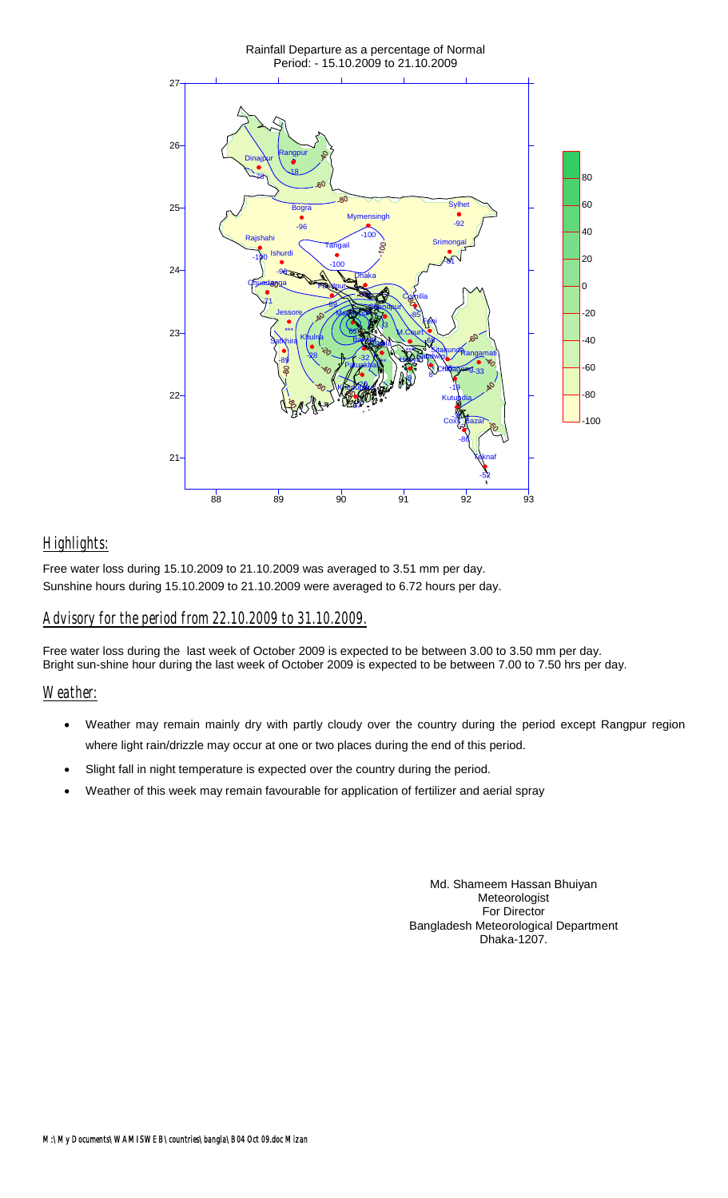

# *Highlights:*

Free water loss during 15.10.2009 to 21.10.2009 was averaged to 3.51 mm per day. Sunshine hours during 15.10.2009 to 21.10.2009 were averaged to 6.72 hours per day.

# *Advisory for the period from 22.10.2009 to 31.10.2009.*

Free water loss during the last week of October 2009 is expected to be between 3.00 to 3.50 mm per day. Bright sun-shine hour during the last week of October 2009 is expected to be between 7.00 to 7.50 hrs per day.

## *Weather:*

- Weather may remain mainly dry with partly cloudy over the country during the period except Rangpur region where light rain/drizzle may occur at one or two places during the end of this period.
- Slight fall in night temperature is expected over the country during the period.
- Weather of this week may remain favourable for application of fertilizer and aerial spray

Md. Shameem Hassan Bhuiyan Meteorologist For Director Bangladesh Meteorological Department Dhaka-1207.